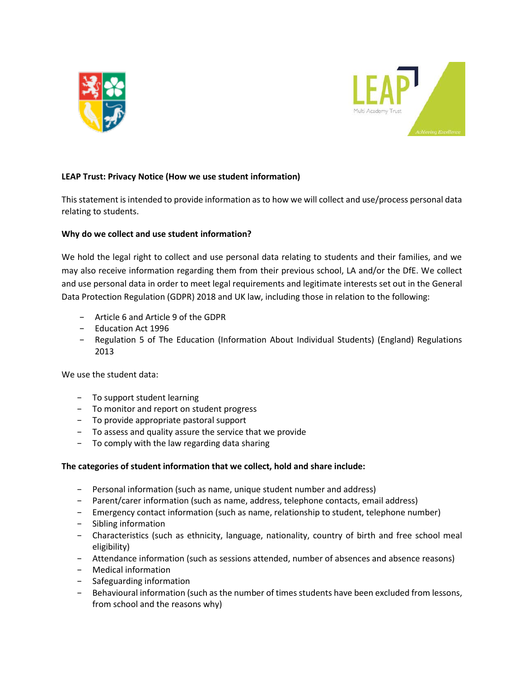



# **LEAP Trust: Privacy Notice (How we use student information)**

This statement is intended to provide information as to how we will collect and use/process personal data relating to students.

## **Why do we collect and use student information?**

We hold the legal right to collect and use personal data relating to students and their families, and we may also receive information regarding them from their previous school, LA and/or the DfE. We collect and use personal data in order to meet legal requirements and legitimate interests set out in the General Data Protection Regulation (GDPR) 2018 and UK law, including those in relation to the following:

- − Article 6 and Article 9 of the GDPR
- − Education Act 1996
- − Regulation 5 of The Education (Information About Individual Students) (England) Regulations 2013

We use the student data:

- − To support student learning
- − To monitor and report on student progress
- − To provide appropriate pastoral support
- − To assess and quality assure the service that we provide
- − To comply with the law regarding data sharing

## **The categories of student information that we collect, hold and share include:**

- − Personal information (such as name, unique student number and address)
- − Parent/carer information (such as name, address, telephone contacts, email address)
- − Emergency contact information (such as name, relationship to student, telephone number)
- − Sibling information
- − Characteristics (such as ethnicity, language, nationality, country of birth and free school meal eligibility)
- − Attendance information (such as sessions attended, number of absences and absence reasons)
- − Medical information
- − Safeguarding information
- − Behavioural information (such as the number of times students have been excluded from lessons, from school and the reasons why)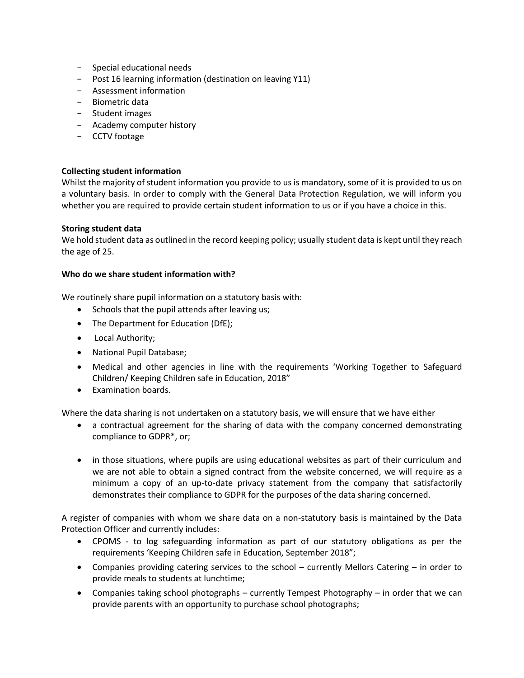- − Special educational needs
- − Post 16 learning information (destination on leaving Y11)
- − Assessment information
- − Biometric data
- − Student images
- − Academy computer history
- − CCTV footage

## **Collecting student information**

Whilst the majority of student information you provide to us is mandatory, some of it is provided to us on a voluntary basis. In order to comply with the General Data Protection Regulation, we will inform you whether you are required to provide certain student information to us or if you have a choice in this.

#### **Storing student data**

We hold student data as outlined in the record keeping policy; usually student data is kept until they reach the age of 25.

#### **Who do we share student information with?**

We routinely share pupil information on a statutory basis with:

- Schools that the pupil attends after leaving us;
- The Department for Education (DfE);
- Local Authority;
- National Pupil Database;
- Medical and other agencies in line with the requirements 'Working Together to Safeguard Children/ Keeping Children safe in Education, 2018"
- Examination boards.

Where the data sharing is not undertaken on a statutory basis, we will ensure that we have either

- a contractual agreement for the sharing of data with the company concerned demonstrating compliance to GDPR\*, or;
- in those situations, where pupils are using educational websites as part of their curriculum and we are not able to obtain a signed contract from the website concerned, we will require as a minimum a copy of an up-to-date privacy statement from the company that satisfactorily demonstrates their compliance to GDPR for the purposes of the data sharing concerned.

A register of companies with whom we share data on a non-statutory basis is maintained by the Data Protection Officer and currently includes:

- CPOMS to log safeguarding information as part of our statutory obligations as per the requirements 'Keeping Children safe in Education, September 2018";
- Companies providing catering services to the school currently Mellors Catering in order to provide meals to students at lunchtime;
- Companies taking school photographs currently Tempest Photography in order that we can provide parents with an opportunity to purchase school photographs;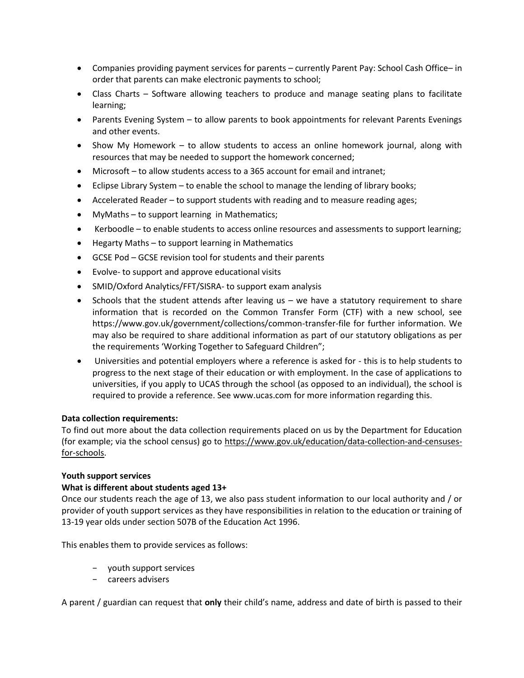- Companies providing payment services for parents currently Parent Pay: School Cash Office– in order that parents can make electronic payments to school;
- Class Charts Software allowing teachers to produce and manage seating plans to facilitate learning;
- Parents Evening System to allow parents to book appointments for relevant Parents Evenings and other events.
- Show My Homework to allow students to access an online homework journal, along with resources that may be needed to support the homework concerned;
- Microsoft to allow students access to a 365 account for email and intranet;
- Eclipse Library System to enable the school to manage the lending of library books;
- Accelerated Reader to support students with reading and to measure reading ages;
- MyMaths to support learning in Mathematics;
- Kerboodle to enable students to access online resources and assessments to support learning;
- Hegarty Maths to support learning in Mathematics
- GCSE Pod GCSE revision tool for students and their parents
- Evolve- to support and approve educational visits
- SMID/Oxford Analytics/FFT/SISRA- to support exam analysis
- Schools that the student attends after leaving us we have a statutory requirement to share information that is recorded on the Common Transfer Form (CTF) with a new school, see https://www.gov.uk/government/collections/common-transfer-file for further information. We may also be required to share additional information as part of our statutory obligations as per the requirements 'Working Together to Safeguard Children";
- Universities and potential employers where a reference is asked for this is to help students to progress to the next stage of their education or with employment. In the case of applications to universities, if you apply to UCAS through the school (as opposed to an individual), the school is required to provide a reference. See www.ucas.com for more information regarding this.

## **Data collection requirements:**

To find out more about the data collection requirements placed on us by the Department for Education (for example; via the school census) go to [https://www.gov.uk/education/data-collection-and-censuses](https://www.gov.uk/education/data-collection-and-censuses-for-schools)[for-schools.](https://www.gov.uk/education/data-collection-and-censuses-for-schools)

## **Youth support services**

## **What is different about students aged 13+**

Once our students reach the age of 13, we also pass student information to our local authority and / or provider of youth support services as they have responsibilities in relation to the education or training of 13-19 year olds under section 507B of the Education Act 1996.

This enables them to provide services as follows:

- − youth support services
- − careers advisers

A parent / guardian can request that **only** their child's name, address and date of birth is passed to their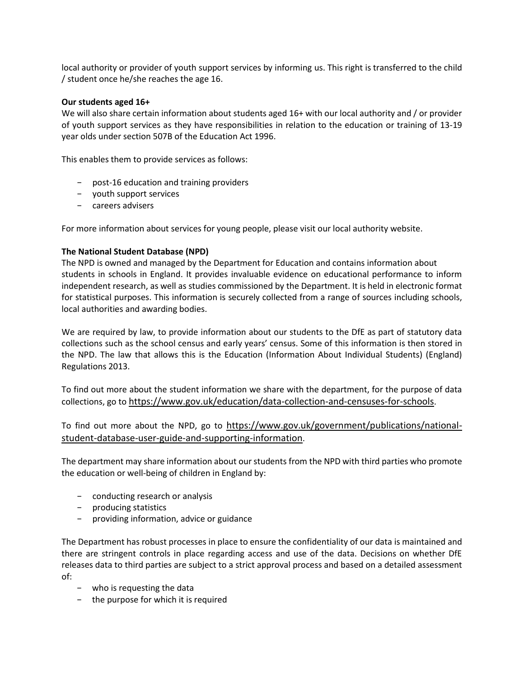local authority or provider of youth support services by informing us. This right is transferred to the child / student once he/she reaches the age 16.

#### **Our students aged 16+**

We will also share certain information about students aged 16+ with our local authority and / or provider of youth support services as they have responsibilities in relation to the education or training of 13-19 year olds under section 507B of the Education Act 1996.

This enables them to provide services as follows:

- − post-16 education and training providers
- − youth support services
- − careers advisers

For more information about services for young people, please visit our local authority website.

## **The National Student Database (NPD)**

The NPD is owned and managed by the Department for Education and contains information about students in schools in England. It provides invaluable evidence on educational performance to inform independent research, as well as studies commissioned by the Department. It is held in electronic format for statistical purposes. This information is securely collected from a range of sources including schools, local authorities and awarding bodies.

We are required by law, to provide information about our students to the DfE as part of statutory data collections such as the school census and early years' census. Some of this information is then stored in the NPD. The law that allows this is the Education (Information About Individual Students) (England) Regulations 2013.

To find out more about the student information we share with the department, for the purpose of data collections, go to <https://www.gov.uk/education/data-collection-and-censuses-for-schools>.

To find out more about the NPD, go to [https://www.gov.uk/government/publications/national](https://www.gov.uk/government/publications/national-pupil-database-user-guide-and-supporting-information)[student-database-user-guide-and-supporting-information](https://www.gov.uk/government/publications/national-pupil-database-user-guide-and-supporting-information).

The department may share information about our students from the NPD with third parties who promote the education or well-being of children in England by:

- − conducting research or analysis
- − producing statistics
- − providing information, advice or guidance

The Department has robust processes in place to ensure the confidentiality of our data is maintained and there are stringent controls in place regarding access and use of the data. Decisions on whether DfE releases data to third parties are subject to a strict approval process and based on a detailed assessment of:

- − who is requesting the data
- − the purpose for which it is required